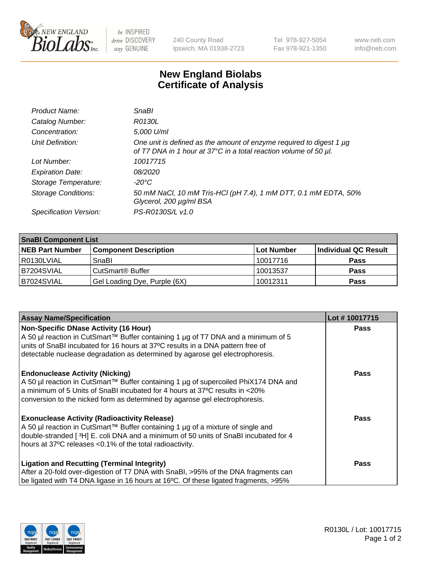

 $be$  INSPIRED drive DISCOVERY stay GENUINE

240 County Road Ipswich, MA 01938-2723 Tel 978-927-5054 Fax 978-921-1350 www.neb.com info@neb.com

## **New England Biolabs Certificate of Analysis**

| Product Name:              | <b>SnaBl</b>                                                                                                                            |
|----------------------------|-----------------------------------------------------------------------------------------------------------------------------------------|
| Catalog Number:            | R0130L                                                                                                                                  |
| Concentration:             | 5,000 U/ml                                                                                                                              |
| Unit Definition:           | One unit is defined as the amount of enzyme required to digest 1 µg<br>of T7 DNA in 1 hour at 37°C in a total reaction volume of 50 µl. |
| Lot Number:                | 10017715                                                                                                                                |
| <b>Expiration Date:</b>    | 08/2020                                                                                                                                 |
| Storage Temperature:       | $-20^{\circ}$ C                                                                                                                         |
| <b>Storage Conditions:</b> | 50 mM NaCl, 10 mM Tris-HCl (pH 7.4), 1 mM DTT, 0.1 mM EDTA, 50%<br>Glycerol, 200 µg/ml BSA                                              |
| Specification Version:     | PS-R0130S/L v1.0                                                                                                                        |

| <b>SnaBI Component List</b> |                              |            |                      |  |  |
|-----------------------------|------------------------------|------------|----------------------|--|--|
| <b>NEB Part Number</b>      | <b>Component Description</b> | Lot Number | Individual QC Result |  |  |
| R0130LVIAL                  | SnaBl                        | 10017716   | <b>Pass</b>          |  |  |
| B7204SVIAL                  | CutSmart <sup>®</sup> Buffer | 10013537   | <b>Pass</b>          |  |  |
| B7024SVIAL                  | Gel Loading Dye, Purple (6X) | 10012311   | <b>Pass</b>          |  |  |

| <b>Assay Name/Specification</b>                                                                                                                                 | Lot #10017715 |
|-----------------------------------------------------------------------------------------------------------------------------------------------------------------|---------------|
| Non-Specific DNase Activity (16 Hour)                                                                                                                           | <b>Pass</b>   |
| A 50 µl reaction in CutSmart™ Buffer containing 1 µg of T7 DNA and a minimum of 5                                                                               |               |
| units of SnaBI incubated for 16 hours at 37°C results in a DNA pattern free of<br>detectable nuclease degradation as determined by agarose gel electrophoresis. |               |
|                                                                                                                                                                 |               |
| <b>Endonuclease Activity (Nicking)</b>                                                                                                                          | Pass          |
| A 50 µl reaction in CutSmart™ Buffer containing 1 µg of supercoiled PhiX174 DNA and                                                                             |               |
| a minimum of 5 Units of SnaBI incubated for 4 hours at 37°C results in <20%                                                                                     |               |
| conversion to the nicked form as determined by agarose gel electrophoresis.                                                                                     |               |
| <b>Exonuclease Activity (Radioactivity Release)</b>                                                                                                             | Pass          |
| A 50 µl reaction in CutSmart™ Buffer containing 1 µg of a mixture of single and                                                                                 |               |
| double-stranded [3H] E. coli DNA and a minimum of 50 units of SnaBl incubated for 4                                                                             |               |
| hours at 37°C releases <0.1% of the total radioactivity.                                                                                                        |               |
|                                                                                                                                                                 |               |
| <b>Ligation and Recutting (Terminal Integrity)</b><br>After a 20-fold over-digestion of T7 DNA with SnaBI, >95% of the DNA fragments can                        | <b>Pass</b>   |
|                                                                                                                                                                 |               |
| be ligated with T4 DNA ligase in 16 hours at 16°C. Of these ligated fragments, >95%                                                                             |               |